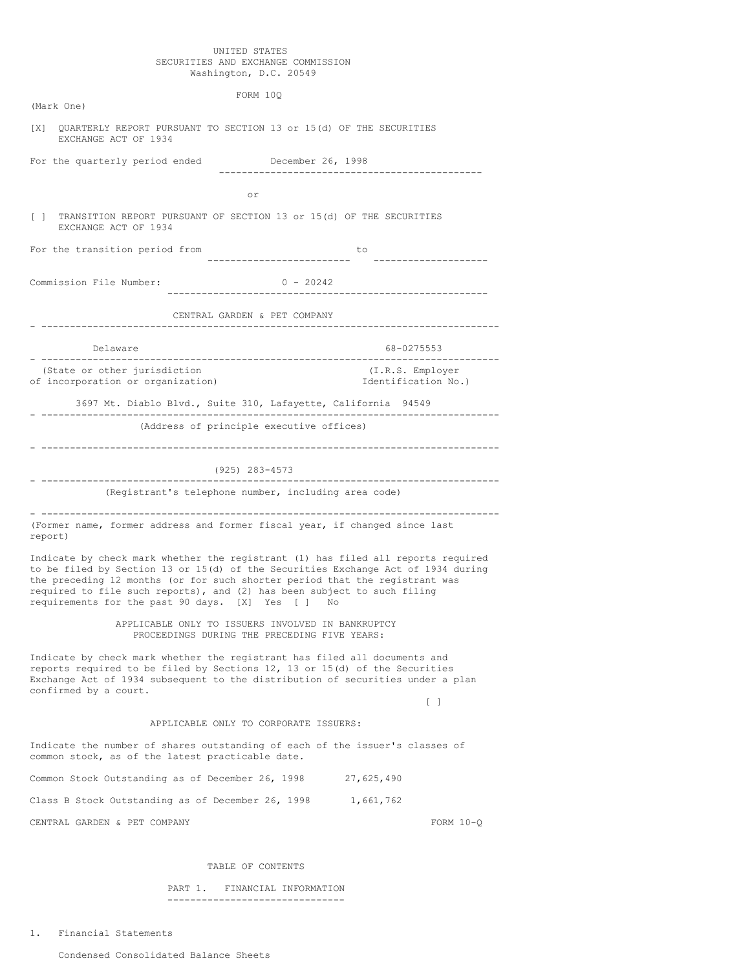## UNITED STATES SECURITIES AND EXCHANGE COMMISSION Washington, D.C. 20549

|                                                                                                                                                                                                          | FORM 10Q                                                                                                                                                                   |
|----------------------------------------------------------------------------------------------------------------------------------------------------------------------------------------------------------|----------------------------------------------------------------------------------------------------------------------------------------------------------------------------|
| (Mark One)                                                                                                                                                                                               |                                                                                                                                                                            |
| QUARTERLY REPORT PURSUANT TO SECTION 13 or 15(d) OF THE SECURITIES<br>[X]<br>EXCHANGE ACT OF 1934                                                                                                        |                                                                                                                                                                            |
| For the quarterly period ended                                                                                                                                                                           | December 26, 1998<br>------------------------------                                                                                                                        |
|                                                                                                                                                                                                          | or                                                                                                                                                                         |
| TRANSITION REPORT PURSUANT OF SECTION 13 or 15(d) OF THE SECURITIES<br>L.<br>EXCHANGE ACT OF 1934                                                                                                        |                                                                                                                                                                            |
| For the transition period from                                                                                                                                                                           | to                                                                                                                                                                         |
| Commission File Number:                                                                                                                                                                                  | $0 - 20242$                                                                                                                                                                |
|                                                                                                                                                                                                          | CENTRAL GARDEN & PET COMPANY                                                                                                                                               |
| Delaware                                                                                                                                                                                                 | 68-0275553                                                                                                                                                                 |
| (State or other jurisdiction<br>of incorporation or organization)                                                                                                                                        | (I.R.S. Employer<br>Identification No.)                                                                                                                                    |
| ----------------------                                                                                                                                                                                   | 3697 Mt. Diablo Blvd., Suite 310, Lafayette, California 94549                                                                                                              |
|                                                                                                                                                                                                          | (Address of principle executive offices)                                                                                                                                   |
|                                                                                                                                                                                                          |                                                                                                                                                                            |
|                                                                                                                                                                                                          | (925) 283-4573                                                                                                                                                             |
|                                                                                                                                                                                                          | (Registrant's telephone number, including area code)                                                                                                                       |
| (Former name, former address and former fiscal year, if changed since last<br>report)                                                                                                                    |                                                                                                                                                                            |
| the preceding 12 months (or for such shorter period that the registrant was<br>required to file such reports), and (2) has been subject to such filing<br>requirements for the past 90 days. [X] Yes [ ] | Indicate by check mark whether the registrant (1) has filed all reports required<br>to be filed by Section 13 or 15(d) of the Securities Exchange Act of 1934 during<br>No |
|                                                                                                                                                                                                          | APPLICABLE ONLY TO ISSUERS INVOLVED IN BANKRUPTCY<br>PROCEEDINGS DURING THE PRECEDING FIVE YEARS:                                                                          |
| Indicate by check mark whether the registrant has filed all documents and<br>reports required to be filed by Sections 12, 13 or 15(d) of the Securities<br>confirmed by a court.                         | Exchange Act of 1934 subsequent to the distribution of securities under a plan                                                                                             |
|                                                                                                                                                                                                          | $[\ ]$                                                                                                                                                                     |
|                                                                                                                                                                                                          | APPLICABLE ONLY TO CORPORATE ISSUERS:                                                                                                                                      |
| Indicate the number of shares outstanding of each of the issuer's classes of<br>common stock, as of the latest practicable date.                                                                         |                                                                                                                                                                            |
| Common Stock Outstanding as of December 26, 1998                                                                                                                                                         | 27,625,490                                                                                                                                                                 |
| Class B Stock Outstanding as of December 26, 1998                                                                                                                                                        | 1,661,762                                                                                                                                                                  |
| CENTRAL GARDEN & PET COMPANY                                                                                                                                                                             | FORM $10-Q$                                                                                                                                                                |

# TABLE OF CONTENTS

PART 1. FINANCIAL INFORMATION -------------------------------

1. Financial Statements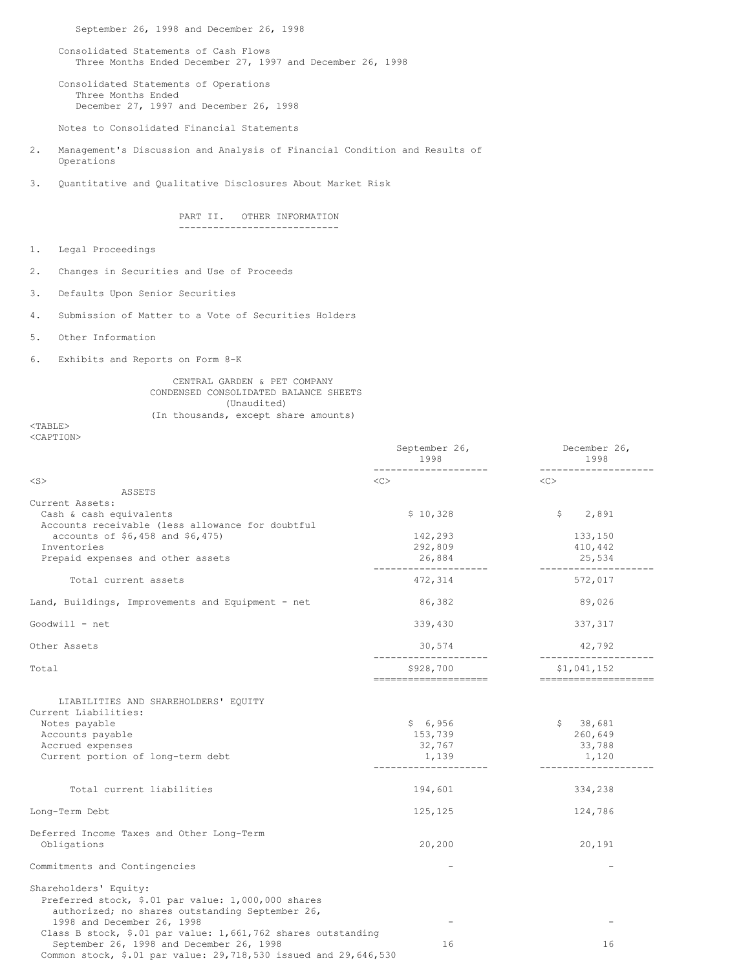September 26, 1998 and December 26, 1998

Consolidated Statements of Cash Flows Three Months Ended December 27, 1997 and December 26, 1998

Consolidated Statements of Operations Three Months Ended December 27, 1997 and December 26, 1998

Notes to Consolidated Financial Statements

- 2. Management's Discussion and Analysis of Financial Condition and Results of Operations
- 3. Quantitative and Qualitative Disclosures About Market Risk

PART II. OTHER INFORMATION ----------------------------

- 1. Legal Proceedings
- 2. Changes in Securities and Use of Proceeds
- 3. Defaults Upon Senior Securities
- 4. Submission of Matter to a Vote of Securities Holders
- 5. Other Information
- 6. Exhibits and Reports on Form 8-K

## CENTRAL GARDEN & PET COMPANY CONDENSED CONSOLIDATED BALANCE SHEETS (Unaudited) (In thousands, except share amounts)

<TABLE> <CAPTION>

|                                                                                                                                                                                                                                                                          | September 26,<br>1998                 | December 26,<br>1998                   |
|--------------------------------------------------------------------------------------------------------------------------------------------------------------------------------------------------------------------------------------------------------------------------|---------------------------------------|----------------------------------------|
| $<$ S $>$                                                                                                                                                                                                                                                                | $<<$ $<$ $>$                          | $<\infty$                              |
| ASSETS                                                                                                                                                                                                                                                                   |                                       |                                        |
| Current Assets:                                                                                                                                                                                                                                                          |                                       |                                        |
| Cash & cash equivalents                                                                                                                                                                                                                                                  | \$10,328                              | 2,891<br>\$                            |
| Accounts receivable (less allowance for doubtful                                                                                                                                                                                                                         |                                       |                                        |
| accounts of \$6,458 and \$6,475)                                                                                                                                                                                                                                         | 142,293                               | 133,150                                |
| Inventories                                                                                                                                                                                                                                                              | 292,809                               | 410,442                                |
| Prepaid expenses and other assets                                                                                                                                                                                                                                        | 26,884                                | 25,534<br>--------------               |
| Total current assets                                                                                                                                                                                                                                                     | 472,314                               | 572,017                                |
| Land, Buildings, Improvements and Equipment - net                                                                                                                                                                                                                        | 86,382                                | 89,026                                 |
| Goodwill - net                                                                                                                                                                                                                                                           | 339,430                               | 337,317                                |
| Other Assets                                                                                                                                                                                                                                                             | 30,574                                | 42,792                                 |
| Total                                                                                                                                                                                                                                                                    | \$928,700                             | \$1,041,152                            |
| LIABILITIES AND SHAREHOLDERS' EQUITY<br>Current Liabilities:<br>Notes payable<br>Accounts payable<br>Accrued expenses<br>Current portion of long-term debt                                                                                                               | \$6,956<br>153,739<br>32,767<br>1,139 | \$38,681<br>260,649<br>33,788<br>1,120 |
| Total current liabilities                                                                                                                                                                                                                                                | 194,601                               | 334,238                                |
| Long-Term Debt                                                                                                                                                                                                                                                           | 125,125                               | 124,786                                |
| Deferred Income Taxes and Other Long-Term<br>Obligations                                                                                                                                                                                                                 | 20,200                                | 20,191                                 |
| Commitments and Contingencies                                                                                                                                                                                                                                            |                                       |                                        |
| Shareholders' Equity:<br>Preferred stock, \$.01 par value: 1,000,000 shares<br>authorized; no shares outstanding September 26,<br>1998 and December 26, 1998<br>Class B stock, \$.01 par value: 1,661,762 shares outstanding<br>September 26, 1998 and December 26, 1998 | 16                                    | 16                                     |
| Common stock, \$.01 par value: 29,718,530 issued and 29,646,530                                                                                                                                                                                                          |                                       |                                        |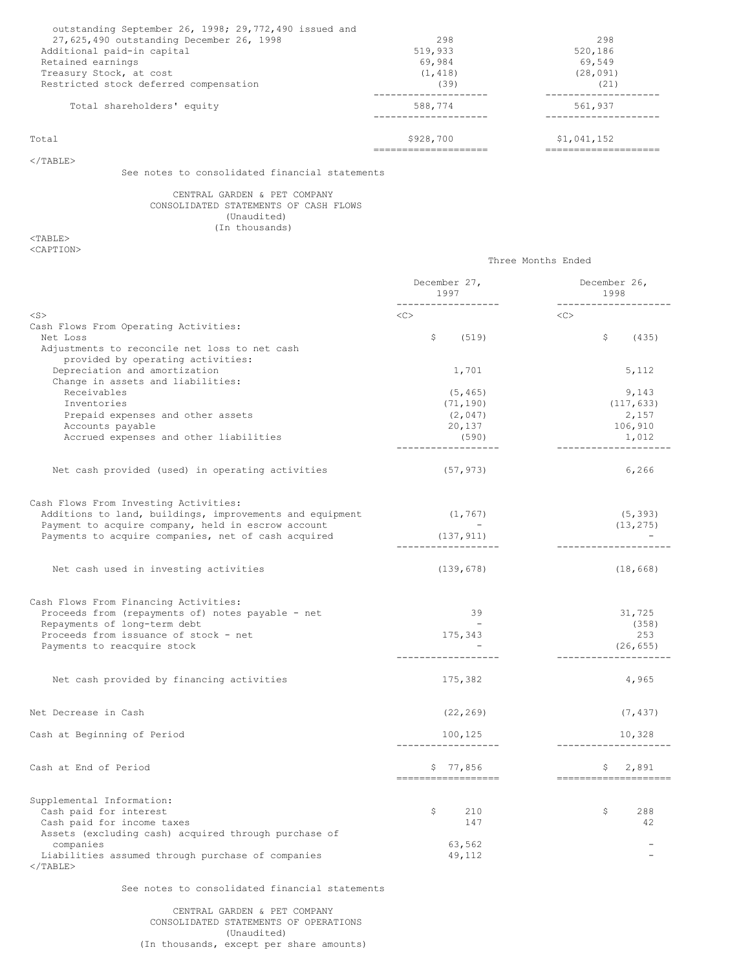| Total                                                 | \$928,700 | \$1,041,152 |
|-------------------------------------------------------|-----------|-------------|
| Total shareholders' equity                            | 588,774   | 561,937     |
| Restricted stock deferred compensation                | (39)      | (21)        |
| Treasury Stock, at cost                               | (1, 418)  | (28, 091)   |
| Retained earnings                                     | 69.984    | 69.549      |
| Additional paid-in capital                            | 519,933   | 520,186     |
| 27,625,490 outstanding December 26, 1998              | 298       | 298         |
| outstanding September 26, 1998; 29,772,490 issued and |           |             |

Three Months Ended

 $<$ /TABLE>

See notes to consolidated financial statements

# CENTRAL GARDEN & PET COMPANY CONSOLIDATED STATEMENTS OF CASH FLOWS (Unaudited) (In thousands)

 $<$ TABLE> <CAPTION>

|                                                                                                           | December 27,<br>1997             | December 26,<br>1998           |
|-----------------------------------------------------------------------------------------------------------|----------------------------------|--------------------------------|
| $<$ S>                                                                                                    | __________________<br><<         | <u> Lucielle Luci</u><br><<    |
| Cash Flows From Operating Activities:<br>Net Loss<br>Adjustments to reconcile net loss to net cash        | \$<br>(519)                      | \$<br>(435)                    |
| provided by operating activities:<br>Depreciation and amortization                                        | 1,701                            | 5,112                          |
| Change in assets and liabilities:<br>Receivables<br>Inventories                                           | (5, 465)<br>(71, 190)            | 9,143<br>(117, 633)            |
| Prepaid expenses and other assets                                                                         | (2, 047)                         | 2,157                          |
| Accounts payable                                                                                          | 20,137                           | 106,910                        |
| Accrued expenses and other liabilities                                                                    | (590)                            | 1,012                          |
| Net cash provided (used) in operating activities                                                          | (57, 973)                        | 6,266                          |
| Cash Flows From Investing Activities:                                                                     |                                  |                                |
| Additions to land, buildings, improvements and equipment                                                  | (1, 767)                         | (5, 393)                       |
| Payment to acquire company, held in escrow account<br>Payments to acquire companies, net of cash acquired | (137, 911)<br>------------------ | (13, 275)                      |
| Net cash used in investing activities                                                                     | (139, 678)                       | (18, 668)                      |
| Cash Flows From Financing Activities:                                                                     |                                  |                                |
| Proceeds from (repayments of) notes payable - net                                                         | 39                               | 31,725                         |
| Repayments of long-term debt                                                                              | $\sim$                           | (358)                          |
| Proceeds from issuance of stock - net<br>Payments to reacquire stock                                      | 175,343                          | 253<br>(26, 655)               |
| Net cash provided by financing activities                                                                 | 175,382                          | 4,965                          |
| Net Decrease in Cash                                                                                      | (22, 269)                        | (7, 437)                       |
| Cash at Beginning of Period                                                                               | 100, 125                         | 10,328                         |
| Cash at End of Period                                                                                     | \$77,856<br>-------------------  | \$2,891<br>------------------- |
| Supplemental Information:                                                                                 |                                  |                                |
| Cash paid for interest                                                                                    | \$<br>210                        | S<br>288                       |
| Cash paid for income taxes<br>Assets (excluding cash) acquired through purchase of                        | 147                              | 42                             |
| companies                                                                                                 | 63,562                           |                                |
| Liabilities assumed through purchase of companies<br>$\langle$ /TABLE>                                    | 49,112                           |                                |

See notes to consolidated financial statements

CENTRAL GARDEN & PET COMPANY CONSOLIDATED STATEMENTS OF OPERATIONS (Unaudited) (In thousands, except per share amounts)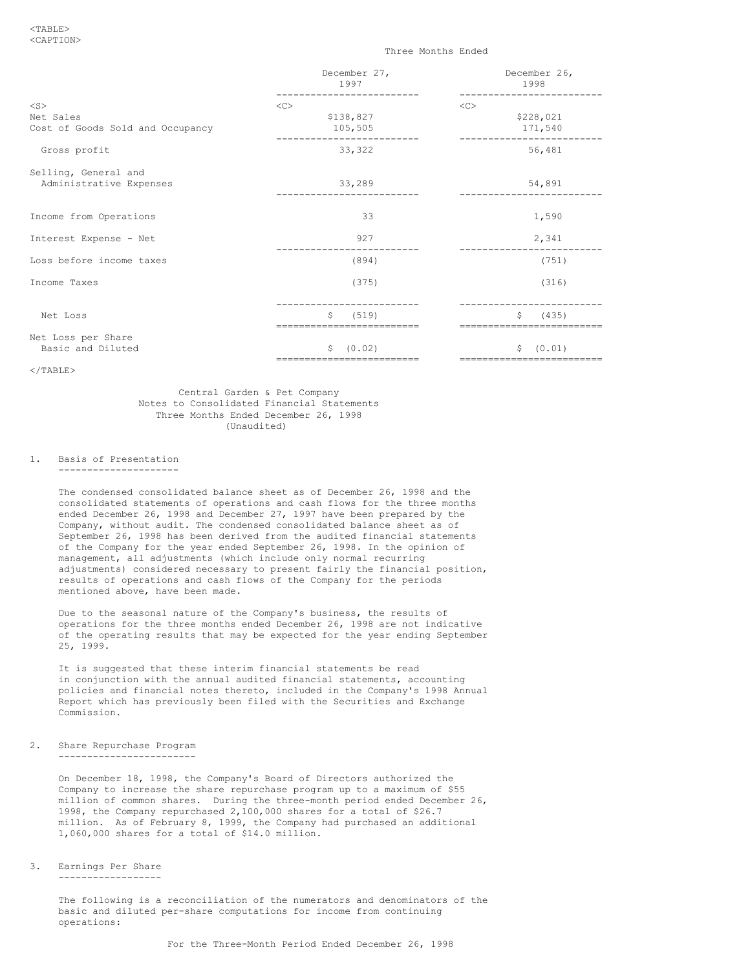### <TABLE> <CAPTION>

### Three Months Ended

|                                  | December 27,<br>1997                      | December 26,<br>1998                      |
|----------------------------------|-------------------------------------------|-------------------------------------------|
| $<$ S $>$                        | $<<$ $<$ $<$ $>$                          | $<$ C $>$                                 |
| Net Sales                        | \$138,827                                 | \$228,021                                 |
| Cost of Goods Sold and Occupancy | 105,505                                   | 171,540                                   |
| Gross profit                     | 33,322                                    | 56,481                                    |
| Selling, General and             |                                           |                                           |
| Administrative Expenses          | 33,289                                    | 54,891                                    |
| Income from Operations           | 33                                        | 1,590                                     |
| Interest Expense - Net           | 927                                       | 2,341                                     |
| Loss before income taxes         | (894)                                     | (751)                                     |
| Income Taxes                     | (375)                                     | (316)                                     |
| Net Loss                         | Ŝ.<br>(519)                               | Ŝ.<br>(435)                               |
| Net Loss per Share               |                                           |                                           |
| Basic and Diluted                | (0.02)<br>\$<br>========================= | (0.01)<br>\$<br>========================= |

 $<$ /TABLE>

Central Garden & Pet Company Notes to Consolidated Financial Statements Three Months Ended December 26, 1998 (Unaudited)

# 1. Basis of Presentation

---------------------

The condensed consolidated balance sheet as of December 26, 1998 and the consolidated statements of operations and cash flows for the three months ended December 26, 1998 and December 27, 1997 have been prepared by the Company, without audit. The condensed consolidated balance sheet as of September 26, 1998 has been derived from the audited financial statements of the Company for the year ended September 26, 1998. In the opinion of management, all adjustments (which include only normal recurring adjustments) considered necessary to present fairly the financial position, results of operations and cash flows of the Company for the periods mentioned above, have been made.

Due to the seasonal nature of the Company's business, the results of operations for the three months ended December 26, 1998 are not indicative of the operating results that may be expected for the year ending September 25, 1999.

It is suggested that these interim financial statements be read in conjunction with the annual audited financial statements, accounting policies and financial notes thereto, included in the Company's 1998 Annual Report which has previously been filed with the Securities and Exchange Commission.

2. Share Repurchase Program ------------------------

> On December 18, 1998, the Company's Board of Directors authorized the Company to increase the share repurchase program up to a maximum of \$55 million of common shares. During the three-month period ended December 26, 1998, the Company repurchased 2,100,000 shares for a total of \$26.7 million. As of February 8, 1999, the Company had purchased an additional 1,060,000 shares for a total of \$14.0 million.

3. Earnings Per Share ------------------

> The following is a reconciliation of the numerators and denominators of the basic and diluted per-share computations for income from continuing operations: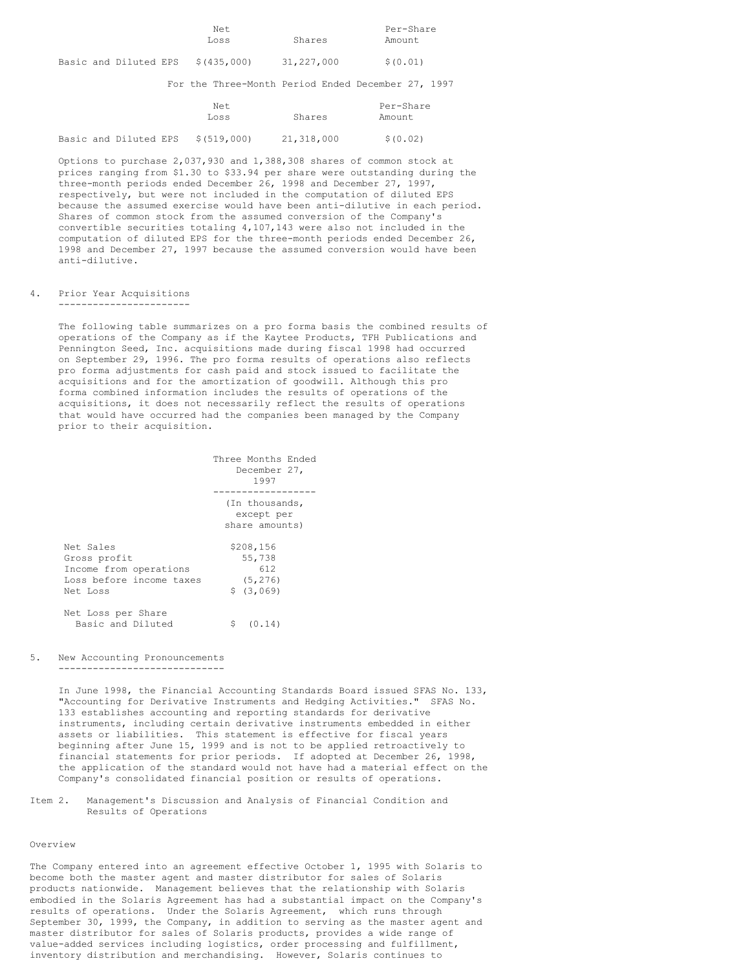| Net  |        | Per-Share |
|------|--------|-----------|
| Loss | Shares | Amount    |

Basic and Diluted EPS \$(435,000) 31,227,000 \$(0.01)

For the Three-Month Period Ended December 27, 1997

|  |                       | Net.<br>Loss | Shares     | Per-Share<br>Amount |
|--|-----------------------|--------------|------------|---------------------|
|  | Basic and Diluted EPS | \$(519,000)  | 21,318,000 | \$ (0.02)           |

Options to purchase 2,037,930 and 1,388,308 shares of common stock at prices ranging from \$1.30 to \$33.94 per share were outstanding during the three-month periods ended December 26, 1998 and December 27, 1997, respectively, but were not included in the computation of diluted EPS because the assumed exercise would have been anti-dilutive in each period. Shares of common stock from the assumed conversion of the Company's convertible securities totaling 4,107,143 were also not included in the computation of diluted EPS for the three-month periods ended December 26, 1998 and December 27, 1997 because the assumed conversion would have been anti-dilutive.

## 4. Prior Year Acquisitions

-----------------------

The following table summarizes on a pro forma basis the combined results of operations of the Company as if the Kaytee Products, TFH Publications and Pennington Seed, Inc. acquisitions made during fiscal 1998 had occurred on September 29, 1996. The pro forma results of operations also reflects pro forma adjustments for cash paid and stock issued to facilitate the acquisitions and for the amortization of goodwill. Although this pro forma combined information includes the results of operations of the acquisitions, it does not necessarily reflect the results of operations that would have occurred had the companies been managed by the Company prior to their acquisition.

|                          | Three Months Ended<br>December 27,<br>1997     |
|--------------------------|------------------------------------------------|
|                          | (In thousands,<br>except per<br>share amounts) |
| Net Sales                | \$208,156                                      |
| Gross profit             | 55,738                                         |
| Income from operations   | 612                                            |
| Loss before income taxes | (5, 276)                                       |
| Net Loss                 | \$ (3,069)                                     |
| Net Loss per Share       | \$                                             |
| Basic and Diluted        | (0.14)                                         |

# 5. New Accounting Pronouncements

-----------------------------

In June 1998, the Financial Accounting Standards Board issued SFAS No. 133, "Accounting for Derivative Instruments and Hedging Activities." SFAS No. 133 establishes accounting and reporting standards for derivative instruments, including certain derivative instruments embedded in either assets or liabilities. This statement is effective for fiscal years beginning after June 15, 1999 and is not to be applied retroactively to financial statements for prior periods. If adopted at December 26, 1998, the application of the standard would not have had a material effect on the Company's consolidated financial position or results of operations.

Item 2. Management's Discussion and Analysis of Financial Condition and Results of Operations

## Overview

The Company entered into an agreement effective October 1, 1995 with Solaris to become both the master agent and master distributor for sales of Solaris products nationwide. Management believes that the relationship with Solaris embodied in the Solaris Agreement has had a substantial impact on the Company's results of operations. Under the Solaris Agreement, which runs through September 30, 1999, the Company, in addition to serving as the master agent and master distributor for sales of Solaris products, provides a wide range of value-added services including logistics, order processing and fulfillment, inventory distribution and merchandising. However, Solaris continues to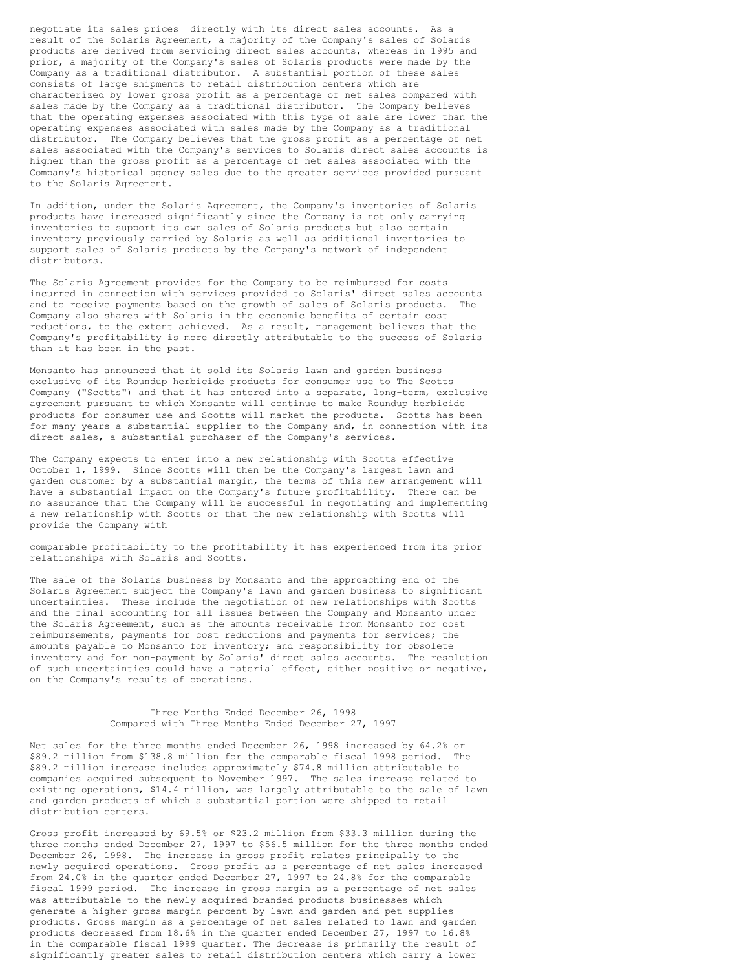negotiate its sales prices directly with its direct sales accounts. As a result of the Solaris Agreement, a majority of the Company's sales of Solaris products are derived from servicing direct sales accounts, whereas in 1995 and prior, a majority of the Company's sales of Solaris products were made by the Company as a traditional distributor. A substantial portion of these sales consists of large shipments to retail distribution centers which are characterized by lower gross profit as a percentage of net sales compared with sales made by the Company as a traditional distributor. The Company believes that the operating expenses associated with this type of sale are lower than the operating expenses associated with sales made by the Company as a traditional distributor. The Company believes that the gross profit as a percentage of net sales associated with the Company's services to Solaris direct sales accounts is higher than the gross profit as a percentage of net sales associated with the Company's historical agency sales due to the greater services provided pursuant to the Solaris Agreement.

In addition, under the Solaris Agreement, the Company's inventories of Solaris products have increased significantly since the Company is not only carrying inventories to support its own sales of Solaris products but also certain inventory previously carried by Solaris as well as additional inventories to support sales of Solaris products by the Company's network of independent distributors.

The Solaris Agreement provides for the Company to be reimbursed for costs incurred in connection with services provided to Solaris' direct sales accounts and to receive payments based on the growth of sales of Solaris products. The Company also shares with Solaris in the economic benefits of certain cost reductions, to the extent achieved. As a result, management believes that the Company's profitability is more directly attributable to the success of Solaris than it has been in the past.

Monsanto has announced that it sold its Solaris lawn and garden business exclusive of its Roundup herbicide products for consumer use to The Scotts Company ("Scotts") and that it has entered into a separate, long-term, exclusive agreement pursuant to which Monsanto will continue to make Roundup herbicide products for consumer use and Scotts will market the products. Scotts has been for many years a substantial supplier to the Company and, in connection with its direct sales, a substantial purchaser of the Company's services.

The Company expects to enter into a new relationship with Scotts effective October 1, 1999. Since Scotts will then be the Company's largest lawn and garden customer by a substantial margin, the terms of this new arrangement will have a substantial impact on the Company's future profitability. There can be no assurance that the Company will be successful in negotiating and implementing a new relationship with Scotts or that the new relationship with Scotts will provide the Company with

comparable profitability to the profitability it has experienced from its prior relationships with Solaris and Scotts.

The sale of the Solaris business by Monsanto and the approaching end of the Solaris Agreement subject the Company's lawn and garden business to significant uncertainties. These include the negotiation of new relationships with Scotts and the final accounting for all issues between the Company and Monsanto under the Solaris Agreement, such as the amounts receivable from Monsanto for cost reimbursements, payments for cost reductions and payments for services; the amounts payable to Monsanto for inventory; and responsibility for obsolete inventory and for non-payment by Solaris' direct sales accounts. The resolution of such uncertainties could have a material effect, either positive or negative, on the Company's results of operations.

## Three Months Ended December 26, 1998 Compared with Three Months Ended December 27, 1997

Net sales for the three months ended December 26, 1998 increased by 64.2% or \$89.2 million from \$138.8 million for the comparable fiscal 1998 period. The \$89.2 million increase includes approximately \$74.8 million attributable to companies acquired subsequent to November 1997. The sales increase related to existing operations, \$14.4 million, was largely attributable to the sale of lawn and garden products of which a substantial portion were shipped to retail distribution centers.

Gross profit increased by 69.5% or \$23.2 million from \$33.3 million during the three months ended December 27, 1997 to \$56.5 million for the three months ended December 26, 1998. The increase in gross profit relates principally to the newly acquired operations. Gross profit as a percentage of net sales increased from 24.0% in the quarter ended December 27, 1997 to 24.8% for the comparable fiscal 1999 period. The increase in gross margin as a percentage of net sales was attributable to the newly acquired branded products businesses which generate a higher gross margin percent by lawn and garden and pet supplies products. Gross margin as a percentage of net sales related to lawn and garden products decreased from 18.6% in the quarter ended December 27, 1997 to 16.8% in the comparable fiscal 1999 quarter. The decrease is primarily the result of significantly greater sales to retail distribution centers which carry a lower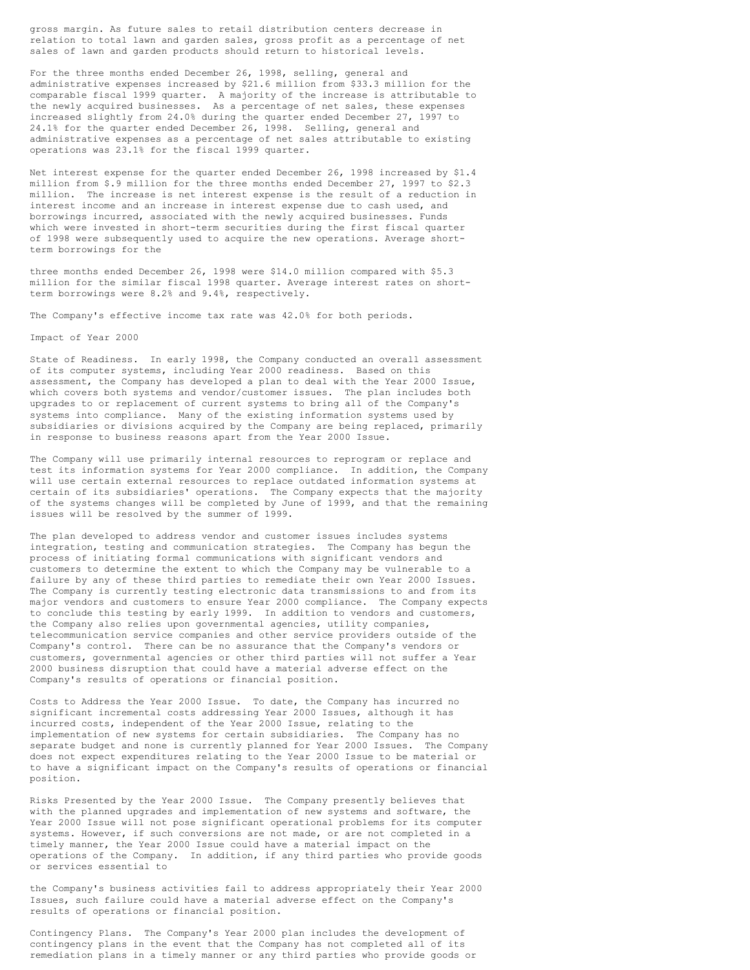gross margin. As future sales to retail distribution centers decrease in relation to total lawn and garden sales, gross profit as a percentage of net sales of lawn and garden products should return to historical levels.

For the three months ended December 26, 1998, selling, general and administrative expenses increased by \$21.6 million from \$33.3 million for the comparable fiscal 1999 quarter. A majority of the increase is attributable to the newly acquired businesses. As a percentage of net sales, these expenses increased slightly from 24.0% during the quarter ended December 27, 1997 to 24.1% for the quarter ended December 26, 1998. Selling, general and administrative expenses as a percentage of net sales attributable to existing operations was 23.1% for the fiscal 1999 quarter.

Net interest expense for the quarter ended December 26, 1998 increased by \$1.4 million from \$.9 million for the three months ended December 27, 1997 to \$2.3 million. The increase is net interest expense is the result of a reduction in interest income and an increase in interest expense due to cash used, and borrowings incurred, associated with the newly acquired businesses. Funds which were invested in short-term securities during the first fiscal quarter of 1998 were subsequently used to acquire the new operations. Average shortterm borrowings for the

three months ended December 26, 1998 were \$14.0 million compared with \$5.3 million for the similar fiscal 1998 quarter. Average interest rates on shortterm borrowings were 8.2% and 9.4%, respectively.

The Company's effective income tax rate was 42.0% for both periods.

Impact of Year 2000

State of Readiness. In early 1998, the Company conducted an overall assessment of its computer systems, including Year 2000 readiness. Based on this assessment, the Company has developed a plan to deal with the Year 2000 Issue, which covers both systems and vendor/customer issues. The plan includes both upgrades to or replacement of current systems to bring all of the Company's systems into compliance. Many of the existing information systems used by subsidiaries or divisions acquired by the Company are being replaced, primarily in response to business reasons apart from the Year 2000 Issue.

The Company will use primarily internal resources to reprogram or replace and test its information systems for Year 2000 compliance. In addition, the Company will use certain external resources to replace outdated information systems at certain of its subsidiaries' operations. The Company expects that the majority of the systems changes will be completed by June of 1999, and that the remaining issues will be resolved by the summer of 1999.

The plan developed to address vendor and customer issues includes systems integration, testing and communication strategies. The Company has begun the process of initiating formal communications with significant vendors and customers to determine the extent to which the Company may be vulnerable to a failure by any of these third parties to remediate their own Year 2000 Issues. The Company is currently testing electronic data transmissions to and from its major vendors and customers to ensure Year 2000 compliance. The Company expects to conclude this testing by early 1999. In addition to vendors and customers, the Company also relies upon governmental agencies, utility companies, telecommunication service companies and other service providers outside of the Company's control. There can be no assurance that the Company's vendors or customers, governmental agencies or other third parties will not suffer a Year 2000 business disruption that could have a material adverse effect on the Company's results of operations or financial position.

Costs to Address the Year 2000 Issue. To date, the Company has incurred no significant incremental costs addressing Year 2000 Issues, although it has incurred costs, independent of the Year 2000 Issue, relating to the implementation of new systems for certain subsidiaries. The Company has no separate budget and none is currently planned for Year 2000 Issues. The Company does not expect expenditures relating to the Year 2000 Issue to be material or to have a significant impact on the Company's results of operations or financial position.

Risks Presented by the Year 2000 Issue. The Company presently believes that with the planned upgrades and implementation of new systems and software, the Year 2000 Issue will not pose significant operational problems for its computer systems. However, if such conversions are not made, or are not completed in a timely manner, the Year 2000 Issue could have a material impact on the operations of the Company. In addition, if any third parties who provide goods or services essential to

the Company's business activities fail to address appropriately their Year 2000 Issues, such failure could have a material adverse effect on the Company's results of operations or financial position.

Contingency Plans. The Company's Year 2000 plan includes the development of contingency plans in the event that the Company has not completed all of its remediation plans in a timely manner or any third parties who provide goods or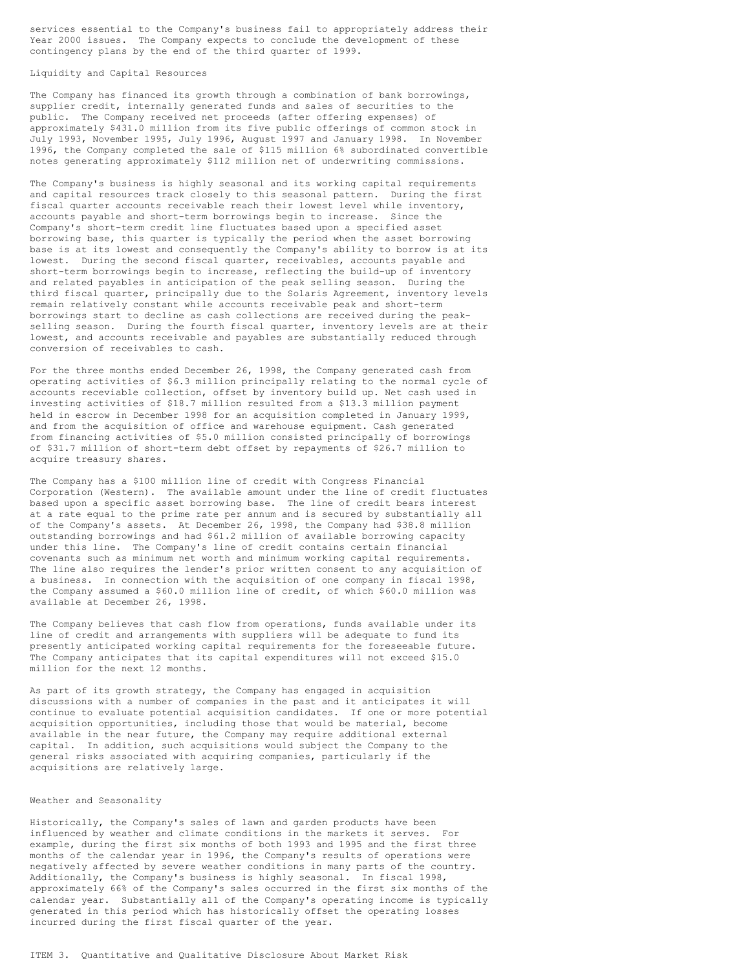services essential to the Company's business fail to appropriately address their Year 2000 issues. The Company expects to conclude the development of these contingency plans by the end of the third quarter of 1999.

Liquidity and Capital Resources

The Company has financed its growth through a combination of bank borrowings, supplier credit, internally generated funds and sales of securities to the public. The Company received net proceeds (after offering expenses) of approximately \$431.0 million from its five public offerings of common stock in July 1993, November 1995, July 1996, August 1997 and January 1998. In November 1996, the Company completed the sale of \$115 million 6% subordinated convertible notes generating approximately \$112 million net of underwriting commissions.

The Company's business is highly seasonal and its working capital requirements and capital resources track closely to this seasonal pattern. During the first fiscal quarter accounts receivable reach their lowest level while inventory, accounts payable and short-term borrowings begin to increase. Since the Company's short-term credit line fluctuates based upon a specified asset borrowing base, this quarter is typically the period when the asset borrowing base is at its lowest and consequently the Company's ability to borrow is at its lowest. During the second fiscal quarter, receivables, accounts payable and short-term borrowings begin to increase, reflecting the build-up of inventory and related payables in anticipation of the peak selling season. During the third fiscal quarter, principally due to the Solaris Agreement, inventory levels remain relatively constant while accounts receivable peak and short-term borrowings start to decline as cash collections are received during the peakselling season. During the fourth fiscal quarter, inventory levels are at their lowest, and accounts receivable and payables are substantially reduced through conversion of receivables to cash.

For the three months ended December 26, 1998, the Company generated cash from operating activities of \$6.3 million principally relating to the normal cycle of accounts receviable collection, offset by inventory build up. Net cash used in investing activities of \$18.7 million resulted from a \$13.3 million payment held in escrow in December 1998 for an acquisition completed in January 1999, and from the acquisition of office and warehouse equipment. Cash generated from financing activities of \$5.0 million consisted principally of borrowings of \$31.7 million of short-term debt offset by repayments of \$26.7 million to acquire treasury shares.

The Company has a \$100 million line of credit with Congress Financial Corporation (Western). The available amount under the line of credit fluctuates based upon a specific asset borrowing base. The line of credit bears interest at a rate equal to the prime rate per annum and is secured by substantially all of the Company's assets. At December 26, 1998, the Company had \$38.8 million outstanding borrowings and had \$61.2 million of available borrowing capacity under this line. The Company's line of credit contains certain financial covenants such as minimum net worth and minimum working capital requirements. The line also requires the lender's prior written consent to any acquisition of a business. In connection with the acquisition of one company in fiscal 1998, the Company assumed a \$60.0 million line of credit, of which \$60.0 million was available at December 26, 1998.

The Company believes that cash flow from operations, funds available under its line of credit and arrangements with suppliers will be adequate to fund its presently anticipated working capital requirements for the foreseeable future. The Company anticipates that its capital expenditures will not exceed \$15.0 million for the next 12 months.

As part of its growth strategy, the Company has engaged in acquisition discussions with a number of companies in the past and it anticipates it will continue to evaluate potential acquisition candidates. If one or more potential acquisition opportunities, including those that would be material, become available in the near future, the Company may require additional external capital. In addition, such acquisitions would subject the Company to the general risks associated with acquiring companies, particularly if the acquisitions are relatively large.

### Weather and Seasonality

Historically, the Company's sales of lawn and garden products have been influenced by weather and climate conditions in the markets it serves. For example, during the first six months of both 1993 and 1995 and the first three months of the calendar year in 1996, the Company's results of operations were negatively affected by severe weather conditions in many parts of the country. Additionally, the Company's business is highly seasonal. In fiscal 1998, approximately 66% of the Company's sales occurred in the first six months of the calendar year. Substantially all of the Company's operating income is typically generated in this period which has historically offset the operating losses incurred during the first fiscal quarter of the year.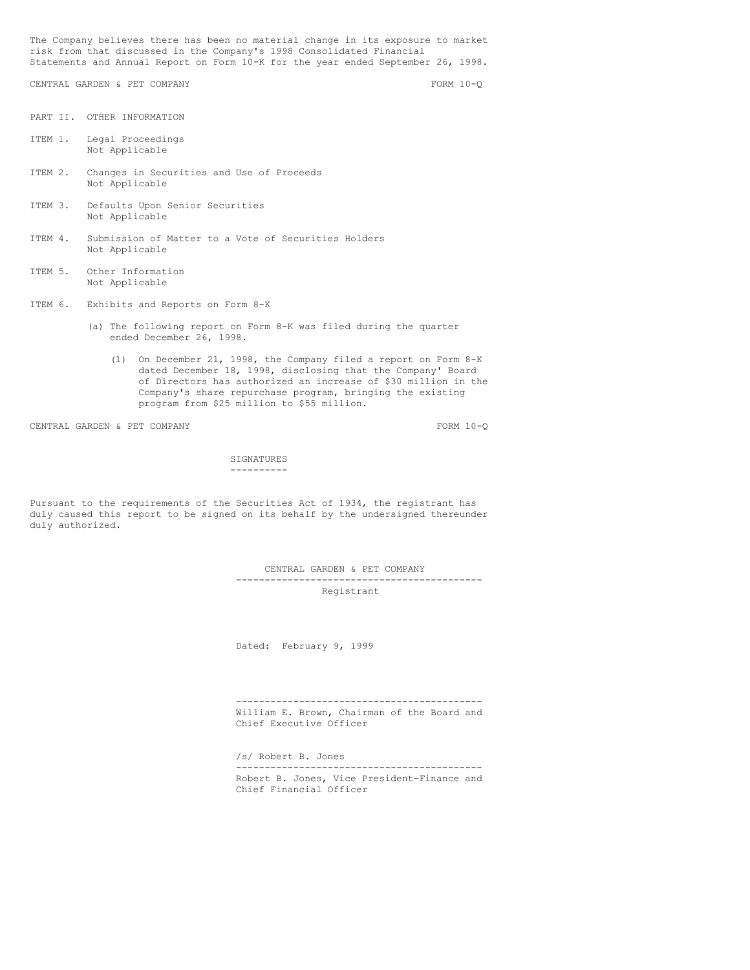The Company believes there has been no material change in its exposure to market risk from that discussed in the Company's 1998 Consolidated Financial Statements and Annual Report on Form 10-K for the year ended September 26, 1998.

CENTRAL GARDEN & PET COMPANY FORM 10-Q

PART II. OTHER INFORMATION

- ITEM 1. Legal Proceedings Not Applicable
- ITEM 2. Changes in Securities and Use of Proceeds Not Applicable
- ITEM 3. Defaults Upon Senior Securities Not Applicable
- ITEM 4. Submission of Matter to a Vote of Securities Holders Not Applicable
- ITEM 5. Other Information Not Applicable
- ITEM 6. Exhibits and Reports on Form 8-K
	- (a) The following report on Form 8-K was filed during the quarter ended December 26, 1998.
		- (1) On December 21, 1998, the Company filed a report on Form 8-K dated December 18, 1998, disclosing that the Company' Board of Directors has authorized an increase of \$30 million in the Company's share repurchase program, bringing the existing program from \$25 million to \$55 million.

CENTRAL GARDEN & PET COMPANY FORM 10-Q

SIGNATURES ----------

Pursuant to the requirements of the Securities Act of 1934, the registrant has duly caused this report to be signed on its behalf by the undersigned thereunder duly authorized.

CENTRAL GARDEN & PET COMPANY

------------------------------------------- Registrant

Dated: February 9, 1999

------------------------------------------- William E. Brown, Chairman of the Board and Chief Executive Officer

/s/ Robert B. Jones ------------------------------------------- Robert B. Jones, Vice President-Finance and Chief Financial Officer